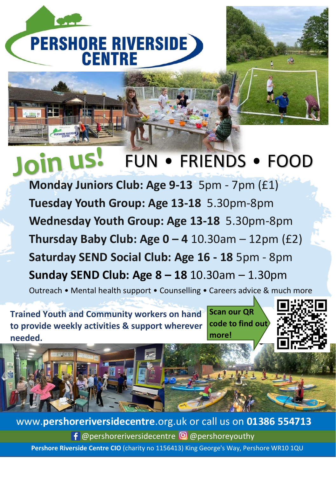

# FUN • FRIENDS • FOOD

**Monday Juniors Club: Age 9-13** 5pm - 7pm (£1) **Tuesday Youth Group: Age 13-18** 5.30pm-8pm **Wednesday Youth Group: Age 13-18** 5.30pm-8pm **Thursday Baby Club: Age 0 – 4** 10.30am – 12pm (£2) **Saturday SEND Social Club: Age 16 - 18** 5pm - 8pm **Sunday SEND Club: Age 8 – 18** 10.30am – 1.30pm Outreach • Mental health support • Counselling • Careers advice & much more

**Trained Youth and Community workers on hand** . **to provide weekly activities & support wherever needed.** 

**Scan our QR code to find out more!** 



**Pershore Riverside Centre CIO** (charity no 1156413) King George's Way, Pershore WR10 1QU  $f$  @pershoreriversidecentre  $\Theta$  @pershoreyouthy www.**pershoreriversidecentre**.org.uk or call us on **01386 554713**